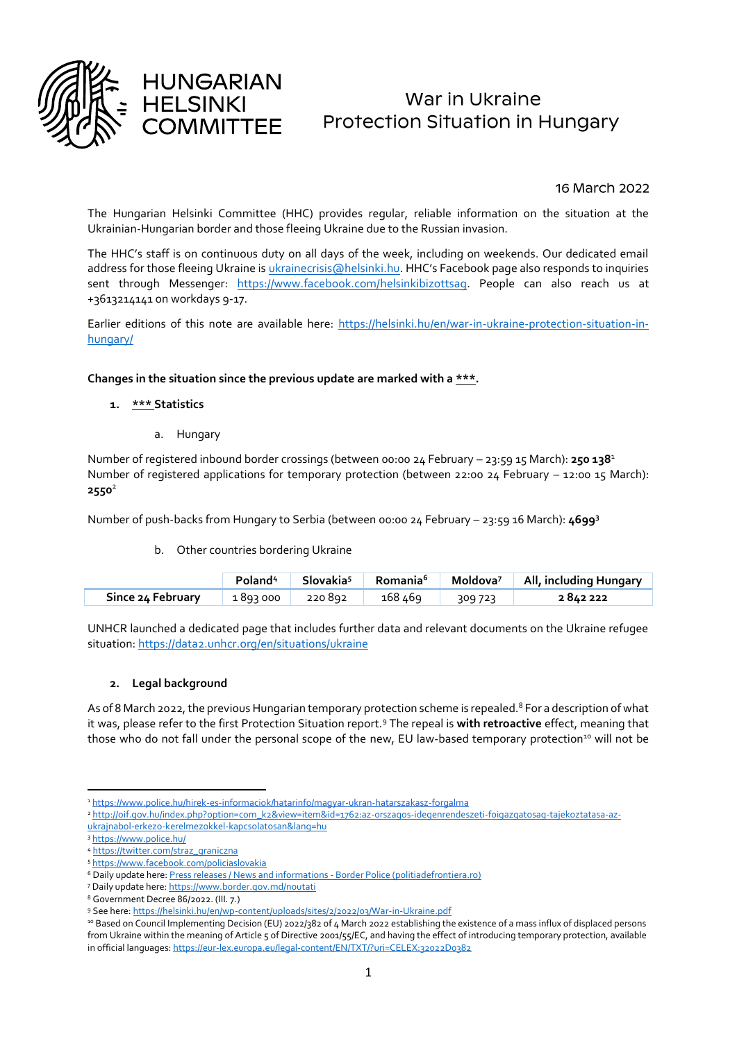

# War in Ukraine Protection Situation in Hungary

# 16 March 2022

The Hungarian Helsinki Committee (HHC) provides regular, reliable information on the situation at the Ukrainian-Hungarian border and those fleeing Ukraine due to the Russian invasion.

The HHC's staff is on continuous duty on all days of the week, including on weekends. Our dedicated email address for those fleeing Ukraine is [ukrainecrisis@helsinki.hu](mailto:ukrainecrisis@helsinki.hu). HHC's Facebook page also responds to inquiries sent through Messenger: [https://www.facebook.com/helsinkibizottsag.](https://www.facebook.com/helsinkibizottsag) People can also reach us at +3613214141 on workdays 9-17.

Earlier editions of this note are available here: [https://helsinki.hu/en/war-in-ukraine-protection-situation-in](https://helsinki.hu/en/war-in-ukraine-protection-situation-in-hungary/)[hungary/](https://helsinki.hu/en/war-in-ukraine-protection-situation-in-hungary/)

## **Changes in the situation since the previous update are marked with a \*\*\*.**

## **1. \*\*\* Statistics**

a. Hungary

**HUNGARIAN HELSINKI** 

Number of registered inbound border crossings (between 00:00 24 February – 23:59 15 March): **250 138**<sup>1</sup> Number of registered applications for temporary protection (between 22:00 24 February – 12:00 15 March): **2550**<sup>2</sup>

Number of push-backs from Hungary to Serbia (between 00:00 24 February – 23:59 16 March): **4699<sup>3</sup>**

#### b. Other countries bordering Ukraine

|                   | Poland <sup>4</sup> | Slovakia <sup>5</sup> | Romania <sup>6</sup> |         | Moldova <sup>7</sup>   All, including Hungary |
|-------------------|---------------------|-----------------------|----------------------|---------|-----------------------------------------------|
| Since 24 February | 1893000             | 220 892               | 168∡6۹               | 309 723 | 2842222                                       |

UNHCR launched a dedicated page that includes further data and relevant documents on the Ukraine refugee situation:<https://data2.unhcr.org/en/situations/ukraine>

# **2. Legal background**

As of 8 March 2022, the previous Hungarian temporary protection scheme is repealed.<sup>8</sup> For a description of what it was, please refer to the first Protection Situation report.<sup>9</sup> The repeal is **with retroactive** effect, meaning that those who do not fall under the personal scope of the new. EU law-based temporary protection<sup>10</sup> will not be

**<sup>.</sup>** <sup>1</sup> <https://www.police.hu/hirek-es-informaciok/hatarinfo/magyar-ukran-hatarszakasz-forgalma>

<sup>2</sup> [http://oif.gov.hu/index.php?option=com\\_k2&view=item&id=1762:az-orszagos-idegenrendeszeti-foigazgatosag-tajekoztatasa-az-](http://oif.gov.hu/index.php?option=com_k2&view=item&id=1762:az-orszagos-idegenrendeszeti-foigazgatosag-tajekoztatasa-az-ukrajnabol-erkezo-kerelmezokkel-kapcsolatosan&lang=hu)

[ukrajnabol-erkezo-kerelmezokkel-kapcsolatosan&lang=hu](http://oif.gov.hu/index.php?option=com_k2&view=item&id=1762:az-orszagos-idegenrendeszeti-foigazgatosag-tajekoztatasa-az-ukrajnabol-erkezo-kerelmezokkel-kapcsolatosan&lang=hu)

<sup>3</sup> <https://www.police.hu/>

<sup>4</sup> [https://twitter.com/straz\\_graniczna](https://twitter.com/straz_graniczna) <sup>5</sup> <https://www.facebook.com/policiaslovakia>

<sup>&</sup>lt;sup>6</sup> Daily update here[: Press releases / News and informations -](https://www.politiadefrontiera.ro/en/main/n-communication-news-and-events-1/) Border Police (politiadefrontiera.ro)

<sup>7</sup> Daily update here[: https://www.border.gov.md/noutati](https://www.border.gov.md/noutati)

<sup>8</sup> Government Decree 86/2022. (III. 7.)

<sup>9</sup> See here[: https://helsinki.hu/en/wp-content/uploads/sites/2/2022/03/War-in-Ukraine.pdf](https://helsinki.hu/en/wp-content/uploads/sites/2/2022/03/War-in-Ukraine.pdf)

<sup>&</sup>lt;sup>10</sup> Based on Council Implementing Decision (EU) 2022/382 of 4 March 2022 establishing the existence of a mass influx of displaced persons from Ukraine within the meaning of Article 5 of Directive 2001/55/EC, and having the effect of introducing temporary protection, available in official languages[: https://eur-lex.europa.eu/legal-content/EN/TXT/?uri=CELEX:32022D0382](https://eur-lex.europa.eu/legal-content/EN/TXT/?uri=CELEX:32022D0382)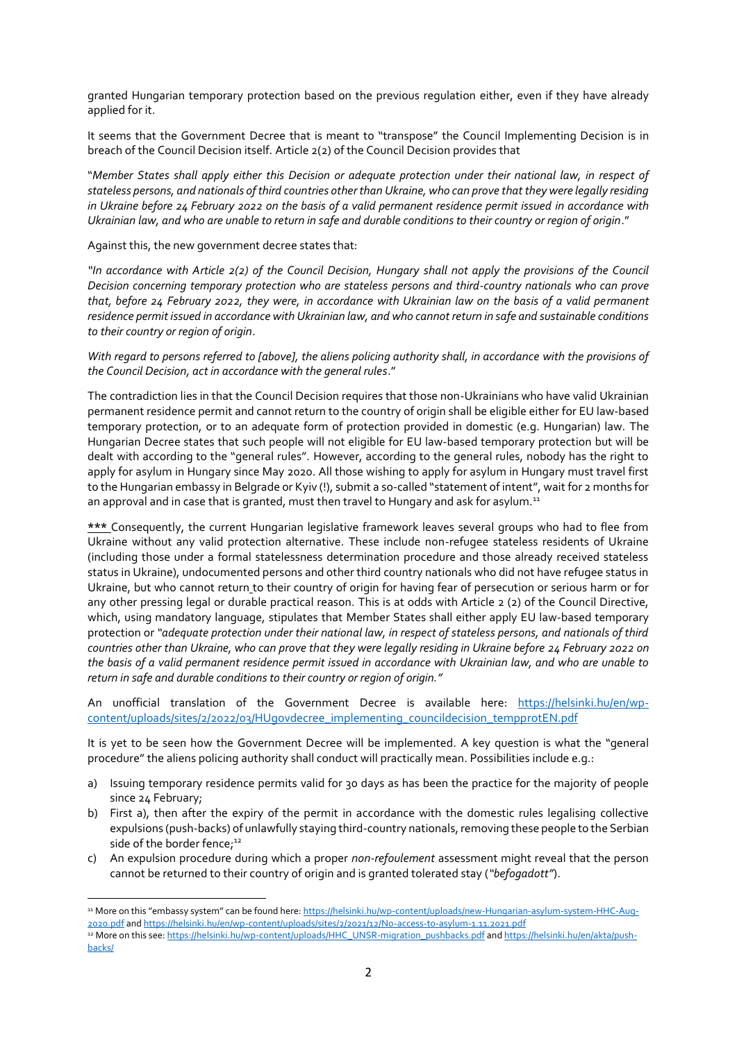granted Hungarian temporary protection based on the previous regulation either, even if they have already applied for it.

It seems that the Government Decree that is meant to "transpose" the Council Implementing Decision is in breach of the Council Decision itself. Article 2(2) of the Council Decision provides that

"*Member States shall apply either this Decision or adequate protection under their national law, in respect of stateless persons, and nationals of third countries other than Ukraine, who can prove that they were legally residing in Ukraine before 24 February 2022 on the basis of a valid permanent residence permit issued in accordance with Ukrainian law, and who are unable to return in safe and durable conditions to their country or region of origin*."

Against this, the new government decree states that:

 $\overline{\phantom{a}}$ 

*"In accordance with Article 2(2) of the Council Decision, Hungary shall not apply the provisions of the Council Decision concerning temporary protection who are stateless persons and third-country nationals who can prove that, before 24 February 2022, they were, in accordance with Ukrainian law on the basis of a valid permanent residence permit issued in accordance with Ukrainian law, and who cannot return in safe and sustainable conditions to their country or region of origin*.

*With regard to persons referred to [above], the aliens policing authority shall, in accordance with the provisions of the Council Decision, act in accordance with the general rules*."

The contradiction lies in that the Council Decision requires that those non-Ukrainians who have valid Ukrainian permanent residence permit and cannot return to the country of origin shall be eligible either for EU law-based temporary protection, or to an adequate form of protection provided in domestic (e.g. Hungarian) law. The Hungarian Decree states that such people will not eligible for EU law-based temporary protection but will be dealt with according to the "general rules". However, according to the general rules, nobody has the right to apply for asylum in Hungary since May 2020. All those wishing to apply for asylum in Hungary must travel first to the Hungarian embassy in Belgrade or Kyiv (!), submit a so-called "statement of intent", wait for 2 months for an approval and in case that is granted, must then travel to Hungary and ask for asylum.<sup>11</sup>

**\*\*\*** Consequently, the current Hungarian legislative framework leaves several groups who had to flee from Ukraine without any valid protection alternative. These include non-refugee stateless residents of Ukraine (including those under a formal statelessness determination procedure and those already received stateless status in Ukraine), undocumented persons and other third country nationals who did not have refugee status in Ukraine, but who cannot return to their country of origin for having fear of persecution or serious harm or for any other pressing legal or durable practical reason. This is at odds with Article 2 (2) of the Council Directive, which, using mandatory language, stipulates that Member States shall either apply EU law-based temporary protection or *"adequate protection under their national law, in respect of stateless persons, and nationals of third countries other than Ukraine, who can prove that they were legally residing in Ukraine before 24 February 2022 on the basis of a valid permanent residence permit issued in accordance with Ukrainian law, and who are unable to return in safe and durable conditions to their country or region of origin."*

An unofficial translation of the Government Decree is available here: [https://helsinki.hu/en/wp](https://helsinki.hu/en/wp-content/uploads/sites/2/2022/03/HUgovdecree_implementing_councildecision_tempprotEN.pdf)[content/uploads/sites/2/2022/03/HUgovdecree\\_implementing\\_councildecision\\_tempprotEN.pdf](https://helsinki.hu/en/wp-content/uploads/sites/2/2022/03/HUgovdecree_implementing_councildecision_tempprotEN.pdf)

It is yet to be seen how the Government Decree will be implemented. A key question is what the "general procedure" the aliens policing authority shall conduct will practically mean. Possibilities include e.g.:

- a) Issuing temporary residence permits valid for 30 days as has been the practice for the majority of people since 24 February;
- b) First a), then after the expiry of the permit in accordance with the domestic rules legalising collective expulsions (push-backs) of unlawfully staying third-country nationals, removing these people to the Serbian side of the border fence;<sup>12</sup>
- c) An expulsion procedure during which a proper *non-refoulement* assessment might reveal that the person cannot be returned to their country of origin and is granted tolerated stay (*"befogadott"*).

<sup>11</sup> More on this "embassy system" can be found here: [https://helsinki.hu/wp-content/uploads/new-Hungarian-asylum-system-HHC-Aug-](https://helsinki.hu/wp-content/uploads/new-Hungarian-asylum-system-HHC-Aug-2020.pdf)[2020.pdf](https://helsinki.hu/wp-content/uploads/new-Hungarian-asylum-system-HHC-Aug-2020.pdf) an[d https://helsinki.hu/en/wp-content/uploads/sites/2/2021/12/No-access-to-asylum-1.11.2021.pdf](https://helsinki.hu/en/wp-content/uploads/sites/2/2021/12/No-access-to-asylum-1.11.2021.pdf)

<sup>&</sup>lt;sup>12</sup> More on this see[: https://helsinki.hu/wp-content/uploads/HHC\\_UNSR-migration\\_pushbacks.pdf](https://helsinki.hu/wp-content/uploads/HHC_UNSR-migration_pushbacks.pdf) an[d https://helsinki.hu/en/akta/push](https://helsinki.hu/en/akta/push-backs/)[backs/](https://helsinki.hu/en/akta/push-backs/)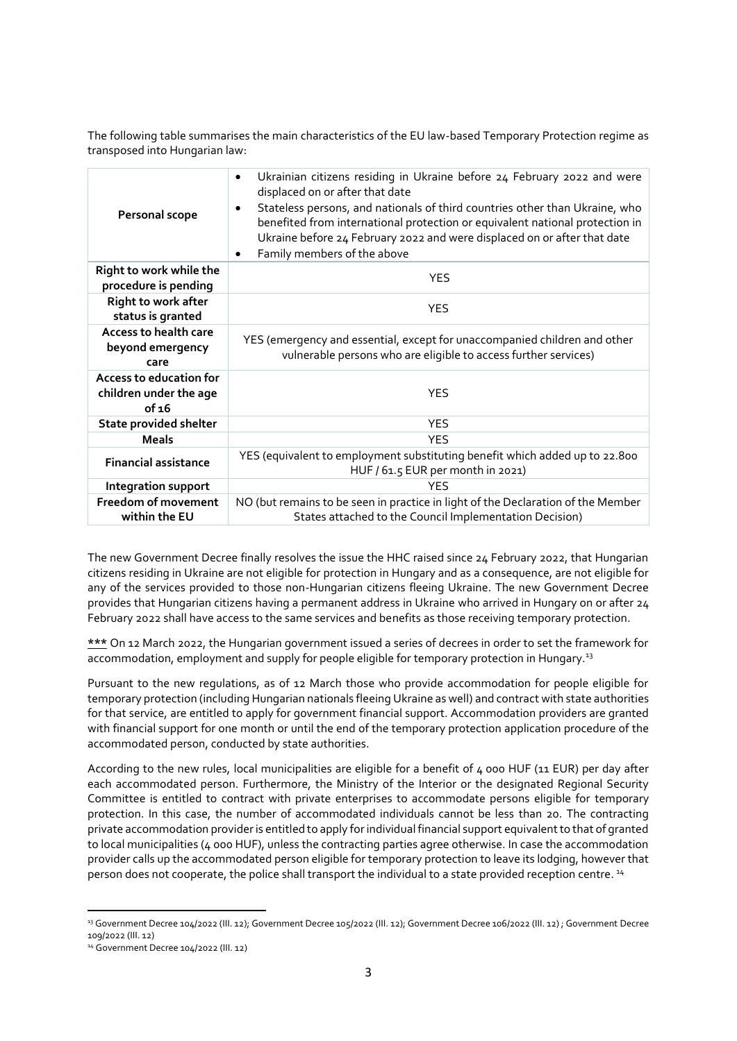The following table summarises the main characteristics of the EU law-based Temporary Protection regime as transposed into Hungarian law:

| Personal scope                                             | Ukrainian citizens residing in Ukraine before 24 February 2022 and were<br>٠<br>displaced on or after that date<br>Stateless persons, and nationals of third countries other than Ukraine, who<br>٠<br>benefited from international protection or equivalent national protection in<br>Ukraine before 24 February 2022 and were displaced on or after that date<br>Family members of the above<br>٠ |  |
|------------------------------------------------------------|-----------------------------------------------------------------------------------------------------------------------------------------------------------------------------------------------------------------------------------------------------------------------------------------------------------------------------------------------------------------------------------------------------|--|
| Right to work while the<br>procedure is pending            | <b>YES</b>                                                                                                                                                                                                                                                                                                                                                                                          |  |
| <b>Right to work after</b><br>status is granted            | <b>YES</b>                                                                                                                                                                                                                                                                                                                                                                                          |  |
| Access to health care<br>beyond emergency<br>care          | YES (emergency and essential, except for unaccompanied children and other<br>vulnerable persons who are eligible to access further services)                                                                                                                                                                                                                                                        |  |
| Access to education for<br>children under the age<br>of 16 | <b>YES</b>                                                                                                                                                                                                                                                                                                                                                                                          |  |
| <b>State provided shelter</b>                              | <b>YES</b>                                                                                                                                                                                                                                                                                                                                                                                          |  |
| <b>Meals</b>                                               | <b>YES</b>                                                                                                                                                                                                                                                                                                                                                                                          |  |
| <b>Financial assistance</b>                                | YES (equivalent to employment substituting benefit which added up to 22.800<br>HUF / 61.5 EUR per month in 2021)                                                                                                                                                                                                                                                                                    |  |
| <b>Integration support</b>                                 | <b>YES</b>                                                                                                                                                                                                                                                                                                                                                                                          |  |
| Freedom of movement<br>within the EU                       | NO (but remains to be seen in practice in light of the Declaration of the Member<br>States attached to the Council Implementation Decision)                                                                                                                                                                                                                                                         |  |

The new Government Decree finally resolves the issue the HHC raised since 24 February 2022, that Hungarian citizens residing in Ukraine are not eligible for protection in Hungary and as a consequence, are not eligible for any of the services provided to those non-Hungarian citizens fleeing Ukraine. The new Government Decree provides that Hungarian citizens having a permanent address in Ukraine who arrived in Hungary on or after 24 February 2022 shall have access to the same services and benefits as those receiving temporary protection.

**\*\*\*** On 12 March 2022, the Hungarian government issued a series of decrees in order to set the framework for accommodation, employment and supply for people eligible for temporary protection in Hungary.<sup>13</sup>

Pursuant to the new regulations, as of 12 March those who provide accommodation for people eligible for temporary protection (including Hungarian nationals fleeing Ukraine as well) and contract with state authorities for that service, are entitled to apply for government financial support. Accommodation providers are granted with financial support for one month or until the end of the temporary protection application procedure of the accommodated person, conducted by state authorities.

According to the new rules, local municipalities are eligible for a benefit of 4 000 HUF (11 EUR) per day after each accommodated person. Furthermore, the Ministry of the Interior or the designated Regional Security Committee is entitled to contract with private enterprises to accommodate persons eligible for temporary protection. In this case, the number of accommodated individuals cannot be less than 20. The contracting private accommodation provider is entitled to apply for individual financial support equivalent to that of granted to local municipalities (4 000 HUF), unless the contracting parties agree otherwise. In case the accommodation provider calls up the accommodated person eligible for temporary protection to leave its lodging, however that person does not cooperate, the police shall transport the individual to a state provided reception centre. <sup>14</sup>

 $\overline{\phantom{a}}$ 

<sup>13</sup> Government Decree 104/2022 (III. 12); Government Decree 105/2022 (III. 12); Government Decree 106/2022 (III. 12) ; Government Decree 109/2022 (III. 12)

<sup>14</sup> Government Decree 104/2022 (III. 12)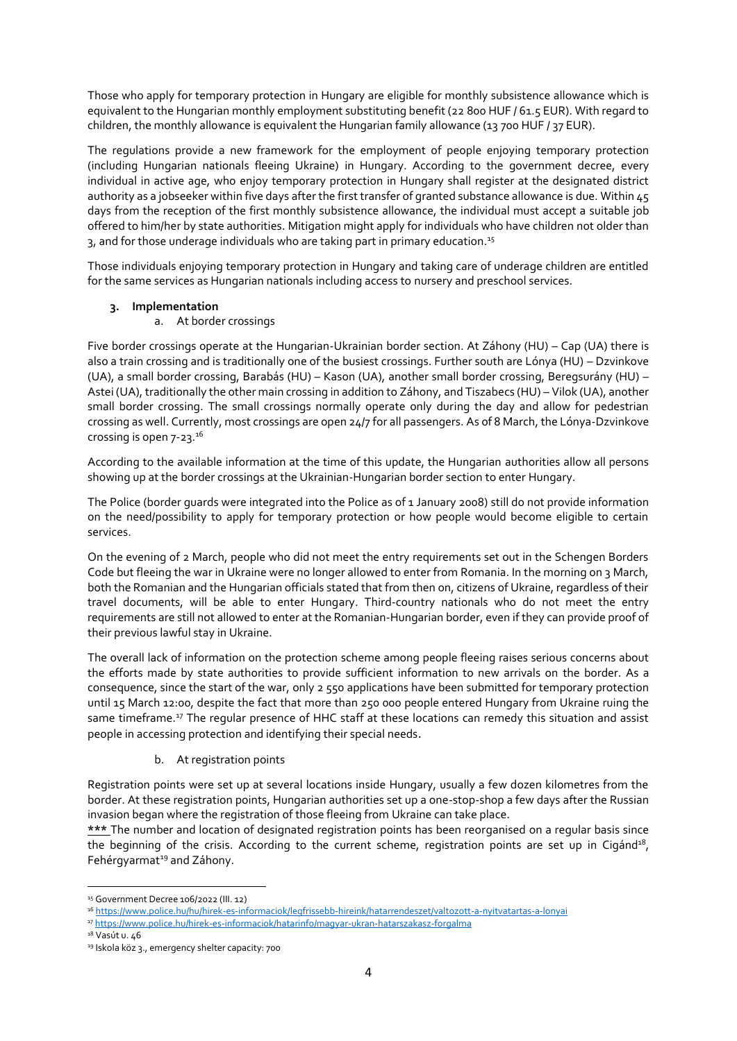Those who apply for temporary protection in Hungary are eligible for monthly subsistence allowance which is equivalent to the Hungarian monthly employment substituting benefit (22 800 HUF / 61.5 EUR). With regard to children, the monthly allowance is equivalent the Hungarian family allowance (13 700 HUF / 37 EUR).

The regulations provide a new framework for the employment of people enjoying temporary protection (including Hungarian nationals fleeing Ukraine) in Hungary. According to the government decree, every individual in active age, who enjoy temporary protection in Hungary shall register at the designated district authority as a jobseeker within five days after the first transfer of granted substance allowance is due. Within 45 days from the reception of the first monthly subsistence allowance, the individual must accept a suitable job offered to him/her by state authorities. Mitigation might apply for individuals who have children not older than 3, and for those underage individuals who are taking part in primary education.<sup>15</sup>

Those individuals enjoying temporary protection in Hungary and taking care of underage children are entitled for the same services as Hungarian nationals including access to nursery and preschool services.

# **3. Implementation**

## a. At border crossings

Five border crossings operate at the Hungarian-Ukrainian border section. At Záhony (HU) – Cap (UA) there is also a train crossing and is traditionally one of the busiest crossings. Further south are Lónya (HU) – Dzvinkove (UA), a small border crossing, Barabás (HU) – Kason (UA), another small border crossing, Beregsurány (HU) – Astei (UA), traditionally the other main crossing in addition to Záhony, and Tiszabecs (HU) – Vilok (UA), another small border crossing. The small crossings normally operate only during the day and allow for pedestrian crossing as well. Currently, most crossings are open 24/7 for all passengers. As of 8 March, the Lónya-Dzvinkove crossing is open 7-23.<sup>16</sup>

According to the available information at the time of this update, the Hungarian authorities allow all persons showing up at the border crossings at the Ukrainian-Hungarian border section to enter Hungary.

The Police (border guards were integrated into the Police as of 1 January 2008) still do not provide information on the need/possibility to apply for temporary protection or how people would become eligible to certain services.

On the evening of 2 March, people who did not meet the entry requirements set out in the Schengen Borders Code but fleeing the war in Ukraine were no longer allowed to enter from Romania. In the morning on 3 March, both the Romanian and the Hungarian officials stated that from then on, citizens of Ukraine, regardless of their travel documents, will be able to enter Hungary. Third-country nationals who do not meet the entry requirements are still not allowed to enter at the Romanian-Hungarian border, even if they can provide proof of their previous lawful stay in Ukraine.

The overall lack of information on the protection scheme among people fleeing raises serious concerns about the efforts made by state authorities to provide sufficient information to new arrivals on the border. As a consequence, since the start of the war, only 2 550 applications have been submitted for temporary protection until 15 March 12:00, despite the fact that more than 250 000 people entered Hungary from Ukraine ruing the same timeframe.<sup>17</sup> The regular presence of HHC staff at these locations can remedy this situation and assist people in accessing protection and identifying their special needs.

# b. At registration points

Registration points were set up at several locations inside Hungary, usually a few dozen kilometres from the border. At these registration points, Hungarian authorities set up a one-stop-shop a few days after the Russian invasion began where the registration of those fleeing from Ukraine can take place.

**\*\*\*** The number and location of designated registration points has been reorganised on a regular basis since the beginning of the crisis. According to the current scheme, registration points are set up in Cigánd<sup>18</sup>, Fehérgyarmat<sup>19</sup> and Záhony.

**.** 

<sup>15</sup> Government Decree 106/2022 (III. 12)

<sup>16</sup> <https://www.police.hu/hu/hirek-es-informaciok/legfrissebb-hireink/hatarrendeszet/valtozott-a-nyitvatartas-a-lonyai>

<sup>17</sup> <https://www.police.hu/hirek-es-informaciok/hatarinfo/magyar-ukran-hatarszakasz-forgalma>

 $18$  Vasút u. 46

<sup>19</sup> Iskola köz 3., emergency shelter capacity: 700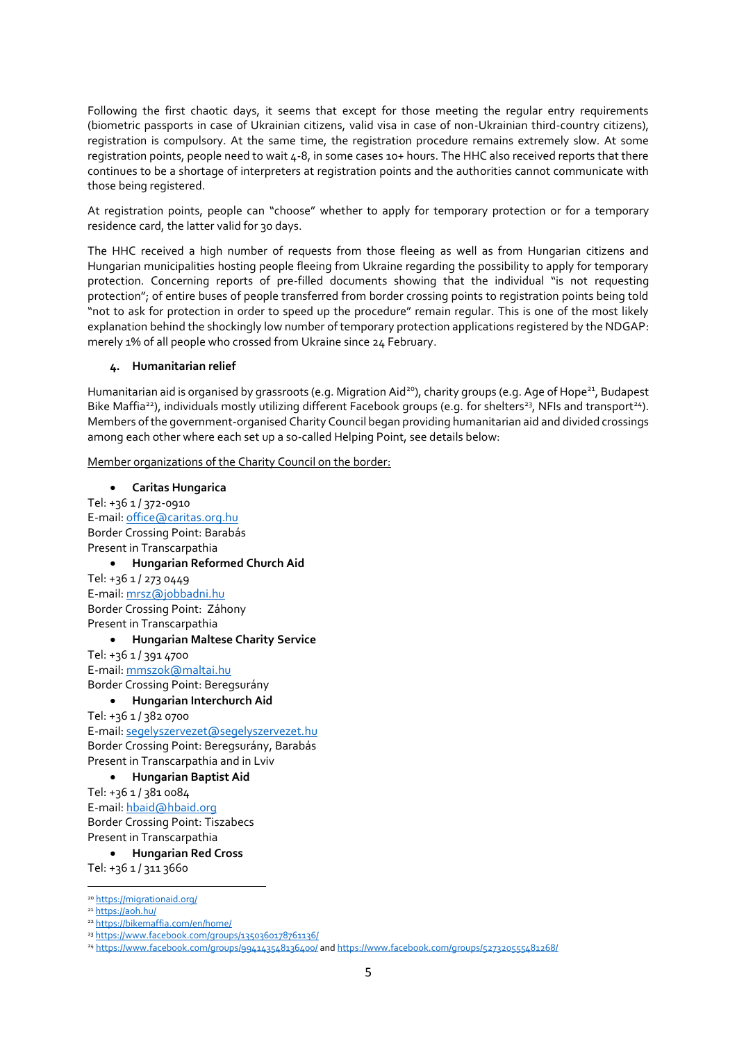Following the first chaotic days, it seems that except for those meeting the regular entry requirements (biometric passports in case of Ukrainian citizens, valid visa in case of non-Ukrainian third-country citizens), registration is compulsory. At the same time, the registration procedure remains extremely slow. At some registration points, people need to wait 4-8, in some cases 10+ hours. The HHC also received reports that there continues to be a shortage of interpreters at registration points and the authorities cannot communicate with those being registered.

At registration points, people can "choose" whether to apply for temporary protection or for a temporary residence card, the latter valid for 30 days.

The HHC received a high number of requests from those fleeing as well as from Hungarian citizens and Hungarian municipalities hosting people fleeing from Ukraine regarding the possibility to apply for temporary protection. Concerning reports of pre-filled documents showing that the individual "is not requesting protection"; of entire buses of people transferred from border crossing points to registration points being told "not to ask for protection in order to speed up the procedure" remain regular. This is one of the most likely explanation behind the shockingly low number of temporary protection applications registered by the NDGAP: merely 1% of all people who crossed from Ukraine since 24 February.

## **4. Humanitarian relief**

Humanitarian aid is organised by grassroots (e.g. Migration Aid<sup>20</sup>), charity groups (e.g. Age of Hope<sup>21</sup>, Budapest Bike Maffia<sup>22</sup>), individuals mostly utilizing different Facebook groups (e.g. for shelters<sup>23</sup>, NFIs and transport<sup>24</sup>). Members of the government-organised Charity Council began providing humanitarian aid and divided crossings among each other where each set up a so-called Helping Point, see details below:

Member organizations of the Charity Council on the border:

#### **Caritas Hungarica**

Tel: +36 1 / 372-0910 E-mail[: office@caritas.org.hu](mailto:office@caritas.org.hu) Border Crossing Point: Barabás Present in Transcarpathia **Hungarian Reformed Church Aid**

Tel: +36 1 / 273 0449 E-mail[: mrsz@jobbadni.hu](mailto:mrsz@jobbadni.hu) Border Crossing Point: Záhony Present in Transcarpathia

#### **Hungarian Maltese Charity Service**

Tel: +36 1 / 391 4700 E-mail[: mmszok@maltai.hu](mailto:mmszok@maltai.hu) Border Crossing Point: Beregsurány

## **Hungarian Interchurch Aid**

Tel: +36 1 / 382 0700 E-mail[: segelyszervezet@segelyszervezet.hu](mailto:segelyszervezet@segelyszervezet.hu) Border Crossing Point: Beregsurány, Barabás Present in Transcarpathia and in Lviv

**Hungarian Baptist Aid**

Tel: +36 1 / 381 0084 E-mail[: hbaid@hbaid.org](mailto:hbaid@hbaid.org) Border Crossing Point: Tiszabecs Present in Transcarpathia

**Hungarian Red Cross**

Tel: +36 1 / 311 3660

**<sup>.</sup>** <sup>20</sup> <https://migrationaid.org/>

<sup>21</sup> <https://aoh.hu/>

<sup>22</sup> <https://bikemaffia.com/en/home/>

<sup>23</sup> [https://www.facebook.com/groups/1350360178761136/](https://www.facebook.com/groups/1350360178761136/?__cft__%5b0%5d=AZXVLNSFnnyxjConAYnfKbXoc5UNBzs-m9kUQwsgHnJz5L3_Yhj6p__rMZ-YIZk64oOUft285kBfDPkVP4M7xIpFh-hf6cosANKCzB5kHs54nLEi96RiEmcJ57VPoaxp-SGxSih-YEhTUa-eJ9ohKpnB&__tn__=-UK-R)

<sup>24</sup> [https://www.facebook.com/groups/994143548136400/](https://www.facebook.com/groups/994143548136400/?%20-hf6cosANKCzB5kHs54nLEi96RiEmcJ57VPoaxp-SGxSih-YEhTUa-eJ9ohKpnB&__tn__=-UK-R) an[d https://www.facebook.com/groups/527320555481268/](https://www.facebook.com/groups/527320555481268/)